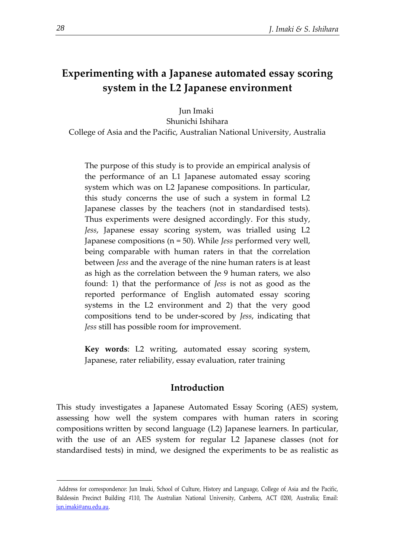# **Experimenting with a Japanese automated essay scoring system in the L2 Japanese environment**

Jun Imaki

Shunichi Ishihara

College of Asia and the Pacific, Australian National University, Australia

The purpose of this study is to provide an empirical analysis of the performance of an L1 Japanese automated essay scoring system which was on L2 Japanese compositions. In particular, this study concerns the use of such a system in formal L2 Japanese classes by the teachers (not in standardised tests). Thus experiments were designed accordingly. For this study, *Jess*, Japanese essay scoring system, was trialled using L2 Japanese compositions (n = 50). While *Jess* performed very well, being comparable with human raters in that the correlation between *Jess* and the average of the nine human raters is at least as high as the correlation between the 9 human raters, we also found: 1) that the performance of *Jess* is not as good as the reported performance of English automated essay scoring systems in the L2 environment and 2) that the very good compositions tend to be under-scored by *Jess*, indicating that *Jess* still has possible room for improvement.

**Key words**: L2 writing, automated essay scoring system, Japanese, rater reliability, essay evaluation, rater training

### **Introduction**

This study investigates a Japanese Automated Essay Scoring (AES) system, assessing how well the system compares with human raters in scoring compositions written by second language (L2) Japanese learners. In particular, with the use of an AES system for regular L2 Japanese classes (not for standardised tests) in mind, we designed the experiments to be as realistic as

1

<sup>1</sup>Address for correspondence: Jun Imaki, School of Culture, History and Language, College of Asia and the Pacific, Baldessin Precinct Building #110, The Australian National University, Canberra, ACT 0200, Australia; Email: [jun.imaki@anu.edu.au.](mailto:jun.imaki@anu.edu.au)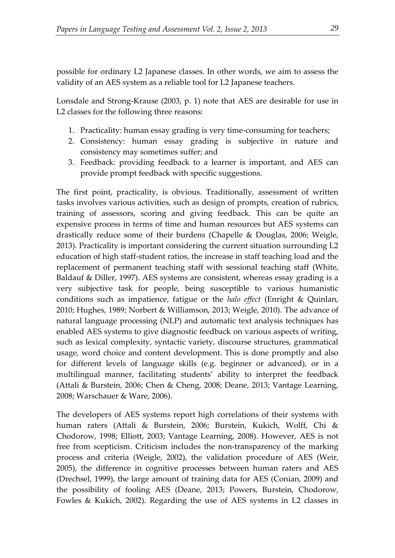possible for ordinary L2 Japanese classes. In other words, we aim to assess the validity of an AES system as a reliable tool for L2 Japanese teachers.

Lonsdale and Strong-Krause (2003, p. 1) note that AES are desirable for use in L2 classes for the following three reasons:

- 1. Practicality: human essay grading is very time-consuming for teachers;
- 2. Consistency: human essay grading is subjective in nature and consistency may sometimes suffer; and
- 3. Feedback: providing feedback to a learner is important, and AES can provide prompt feedback with specific suggestions.

The first point, practicality, is obvious. Traditionally, assessment of written tasks involves various activities, such as design of prompts, creation of rubrics, training of assessors, scoring and giving feedback. This can be quite an expensive process in terms of time and human resources but AES systems can drastically reduce some of their burdens (Chapelle & Douglas, 2006; Weigle, 2013). Practicality is important considering the current situation surrounding L2 education of high staff-student ratios, the increase in staff teaching load and the replacement of permanent teaching staff with sessional teaching staff (White, Baldauf & Diller, 1997). AES systems are consistent, whereas essay grading is a very subjective task for people, being susceptible to various humanistic conditions such as impatience, fatigue or the *halo effect* (Enright & Quinlan, 2010; Hughes, 1989; Norbert & Williamson, 2013; Weigle, 2010). The advance of natural language processing (NLP) and automatic text analysis techniques has enabled AES systems to give diagnostic feedback on various aspects of writing, such as lexical complexity, syntactic variety, discourse structures, grammatical usage, word choice and content development. This is done promptly and also for different levels of language skills (e.g. beginner or advanced), or in a multilingual manner, facilitating students' ability to interpret the feedback (Attali & Burstein, 2006; Chen & Cheng, 2008; Deane, 2013; Vantage Learning, 2008; Warschauer & Ware, 2006).

The developers of AES systems report high correlations of their systems with human raters (Attali & Burstein, 2006; Burstein, Kukich, Wolff, Chi & Chodorow, 1998; Elliott, 2003; Vantage Learning, 2008). However, AES is not free from scepticism. Criticism includes the non-transparency of the marking process and criteria (Weigle, 2002), the validation procedure of AES (Weir, 2005), the difference in cognitive processes between human raters and AES (Drechsel, 1999), the large amount of training data for AES (Conian, 2009) and the possibility of fooling AES (Deane, 2013; Powers, Burstein, Chodorow, Fowles & Kukich, 2002). Regarding the use of AES systems in L2 classes in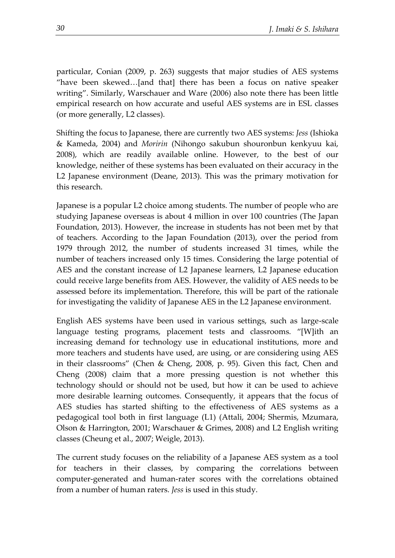particular, Conian (2009, p. 263) suggests that major studies of AES systems "have been skewed…[and that] there has been a focus on native speaker writing". Similarly, Warschauer and Ware (2006) also note there has been little empirical research on how accurate and useful AES systems are in ESL classes (or more generally, L2 classes).

Shifting the focus to Japanese, there are currently two AES systems: *Jess* (Ishioka & Kameda, 2004) and *Moririn* (Nihongo sakubun shouronbun kenkyuu kai, 2008), which are readily available online. However, to the best of our knowledge, neither of these systems has been evaluated on their accuracy in the L2 Japanese environment (Deane, 2013). This was the primary motivation for this research.

Japanese is a popular L2 choice among students. The number of people who are studying Japanese overseas is about 4 million in over 100 countries (The Japan Foundation, 2013). However, the increase in students has not been met by that of teachers. According to the Japan Foundation (2013), over the period from 1979 through 2012, the number of students increased 31 times, while the number of teachers increased only 15 times. Considering the large potential of AES and the constant increase of L2 Japanese learners, L2 Japanese education could receive large benefits from AES. However, the validity of AES needs to be assessed before its implementation. Therefore, this will be part of the rationale for investigating the validity of Japanese AES in the L2 Japanese environment.

English AES systems have been used in various settings, such as large-scale language testing programs, placement tests and classrooms. "[W]ith an increasing demand for technology use in educational institutions, more and more teachers and students have used, are using, or are considering using AES in their classrooms" (Chen & Cheng, 2008, p. 95). Given this fact, Chen and Cheng (2008) claim that a more pressing question is not whether this technology should or should not be used, but how it can be used to achieve more desirable learning outcomes. Consequently, it appears that the focus of AES studies has started shifting to the effectiveness of AES systems as a pedagogical tool both in first language (L1) (Attali, 2004; Shermis, Mzumara, Olson & Harrington, 2001; Warschauer & Grimes, 2008) and L2 English writing classes (Cheung et al., 2007; Weigle, 2013).

The current study focuses on the reliability of a Japanese AES system as a tool for teachers in their classes, by comparing the correlations between computer-generated and human-rater scores with the correlations obtained from a number of human raters. *Jess* is used in this study.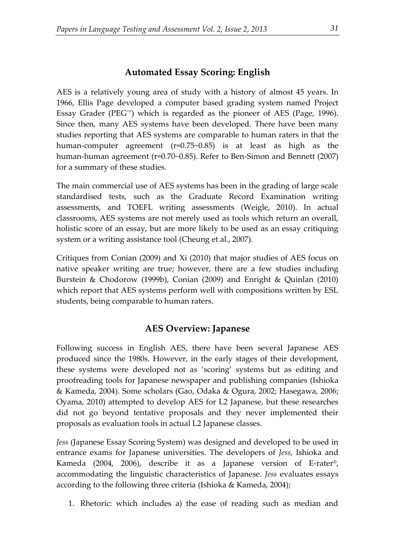## **Automated Essay Scoring: English**

AES is a relatively young area of study with a history of almost 45 years. In 1966, Ellis Page developed a computer based grading system named Project Essay Grader (PEG™) which is regarded as the pioneer of AES (Page, 1996). Since then, many AES systems have been developed. There have been many studies reporting that AES systems are comparable to human raters in that the human-computer agreement (r=0.75~0.85) is at least as high as the human-human agreement (r=0.70~0.85). Refer to Ben-Simon and Bennett (2007) for a summary of these studies.

The main commercial use of AES systems has been in the grading of large scale standardised tests, such as the Graduate Record Examination writing assessments, and TOEFL writing assessments (Weigle, 2010). In actual classrooms, AES systems are not merely used as tools which return an overall, holistic score of an essay, but are more likely to be used as an essay critiquing system or a writing assistance tool (Cheung et al., 2007).

Critiques from Conian (2009) and Xi (2010) that major studies of AES focus on native speaker writing are true; however, there are a few studies including Burstein & Chodorow (1999b), Conian (2009) and Enright & Quinlan (2010) which report that AES systems perform well with compositions written by ESL students, being comparable to human raters.

## **AES Overview: Japanese**

Following success in English AES, there have been several Japanese AES produced since the 1980s. However, in the early stages of their development, these systems were developed not as 'scoring' systems but as editing and proofreading tools for Japanese newspaper and publishing companies (Ishioka & Kameda, 2004). Some scholars (Gao, Odaka & Ogura, 2002; Hasegawa, 2006; Oyama, 2010) attempted to develop AES for L2 Japanese, but these researches did not go beyond tentative proposals and they never implemented their proposals as evaluation tools in actual L2 Japanese classes.

*Jess* (Japanese Essay Scoring System) was designed and developed to be used in entrance exams for Japanese universities. The developers of *Jess*, Ishioka and Kameda (2004, 2006), describe it as a Japanese version of E-rater®, accommodating the linguistic characteristics of Japanese. *Jess* evaluates essays according to the following three criteria (Ishioka & Kameda, 2004);

1. Rhetoric: which includes a) the ease of reading such as median and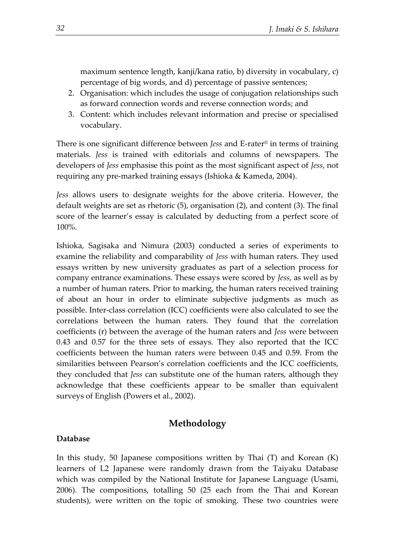maximum sentence length, kanji/kana ratio, b) diversity in vocabulary, c) percentage of big words, and d) percentage of passive sentences;

- 2. Organisation: which includes the usage of conjugation relationships such as forward connection words and reverse connection words; and
- 3. Content: which includes relevant information and precise or specialised vocabulary.

There is one significant difference between *Jess* and E-rater® in terms of training materials. *Jess* is trained with editorials and columns of newspapers. The developers of *Jess* emphasise this point as the most significant aspect of *Jess*, not requiring any pre-marked training essays (Ishioka & Kameda, 2004).

*Jess* allows users to designate weights for the above criteria. However, the default weights are set as rhetoric (5), organisation (2), and content (3). The final score of the learner's essay is calculated by deducting from a perfect score of 100%.

Ishioka, Sagisaka and Nimura (2003) conducted a series of experiments to examine the reliability and comparability of *Jess* with human raters. They used essays written by new university graduates as part of a selection process for company entrance examinations. These essays were scored by *Jess*, as well as by a number of human raters. Prior to marking, the human raters received training of about an hour in order to eliminate subjective judgments as much as possible. Inter-class correlation (ICC) coefficients were also calculated to see the correlations between the human raters. They found that the correlation coefficients (r) between the average of the human raters and *Jess* were between 0.43 and 0.57 for the three sets of essays. They also reported that the ICC coefficients between the human raters were between 0.45 and 0.59. From the similarities between Pearson's correlation coefficients and the ICC coefficients, they concluded that *Jess* can substitute one of the human raters, although they acknowledge that these coefficients appear to be smaller than equivalent surveys of English (Powers et al., 2002).

## **Methodology**

#### **Database**

In this study, 50 Japanese compositions written by Thai (T) and Korean (K) learners of L2 Japanese were randomly drawn from the Taiyaku Database which was compiled by the National Institute for Japanese Language (Usami, 2006). The compositions, totalling 50 (25 each from the Thai and Korean students), were written on the topic of smoking. These two countries were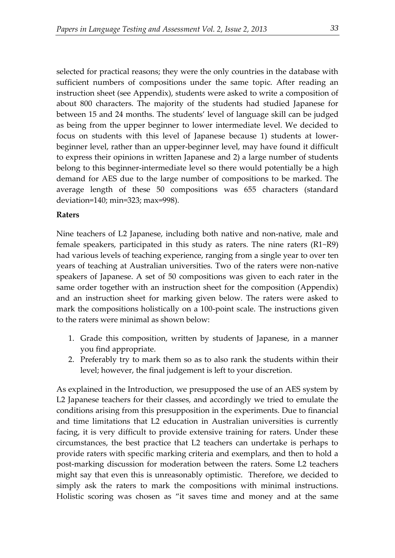selected for practical reasons; they were the only countries in the database with sufficient numbers of compositions under the same topic. After reading an instruction sheet (see Appendix), students were asked to write a composition of about 800 characters. The majority of the students had studied Japanese for between 15 and 24 months. The students' level of language skill can be judged as being from the upper beginner to lower intermediate level. We decided to focus on students with this level of Japanese because 1) students at lowerbeginner level, rather than an upper-beginner level, may have found it difficult to express their opinions in written Japanese and 2) a large number of students belong to this beginner-intermediate level so there would potentially be a high demand for AES due to the large number of compositions to be marked. The average length of these 50 compositions was 655 characters (standard deviation=140; min=323; max=998).

#### **Raters**

Nine teachers of L2 Japanese, including both native and non-native, male and female speakers, participated in this study as raters. The nine raters (R1~R9) had various levels of teaching experience, ranging from a single year to over ten years of teaching at Australian universities. Two of the raters were non-native speakers of Japanese. A set of 50 compositions was given to each rater in the same order together with an instruction sheet for the composition (Appendix) and an instruction sheet for marking given below. The raters were asked to mark the compositions holistically on a 100-point scale. The instructions given to the raters were minimal as shown below:

- 1. Grade this composition, written by students of Japanese, in a manner you find appropriate.
- 2. Preferably try to mark them so as to also rank the students within their level; however, the final judgement is left to your discretion.

As explained in the Introduction, we presupposed the use of an AES system by L2 Japanese teachers for their classes, and accordingly we tried to emulate the conditions arising from this presupposition in the experiments. Due to financial and time limitations that L2 education in Australian universities is currently facing, it is very difficult to provide extensive training for raters. Under these circumstances, the best practice that L2 teachers can undertake is perhaps to provide raters with specific marking criteria and exemplars, and then to hold a post-marking discussion for moderation between the raters. Some L2 teachers might say that even this is unreasonably optimistic. Therefore, we decided to simply ask the raters to mark the compositions with minimal instructions. Holistic scoring was chosen as "it saves time and money and at the same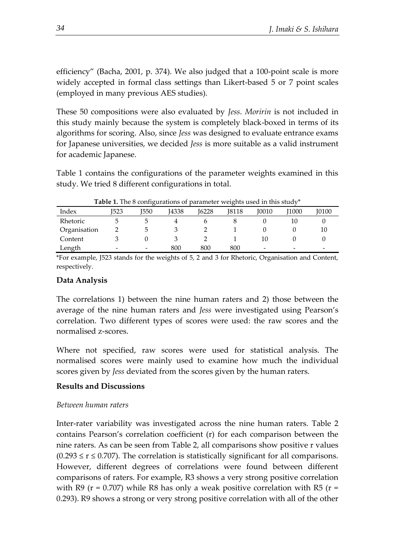efficiency" (Bacha, 2001, p. 374). We also judged that a 100-point scale is more widely accepted in formal class settings than Likert-based 5 or 7 point scales (employed in many previous AES studies).

These 50 compositions were also evaluated by *Jess*. *Moririn* is not included in this study mainly because the system is completely black-boxed in terms of its algorithms for scoring. Also, since *Jess* was designed to evaluate entrance exams for Japanese universities, we decided *Jess* is more suitable as a valid instrument for academic Japanese.

Table 1 contains the configurations of the parameter weights examined in this study. We tried 8 different configurations in total.

|              |                          | $-$ , $-$ , $-$ , $-$ , $-$ , $-$ , $-$ , $-$ , $-$ , $-$ , $-$ , $-$ , $-$ , $-$ |              | parameter weighted about my brace |       |       |       |              |
|--------------|--------------------------|-----------------------------------------------------------------------------------|--------------|-----------------------------------|-------|-------|-------|--------------|
| Index        | I523                     | J550                                                                              | <b>I4338</b> | 16228                             | J8118 | 10010 | [1000 | <b>J0100</b> |
| Rhetoric     |                          |                                                                                   |              |                                   |       |       |       |              |
| Organisation |                          | ∽                                                                                 |              |                                   |       |       |       | 10           |
| Content      |                          |                                                                                   |              |                                   |       | 10    |       |              |
| Length       | $\overline{\phantom{0}}$ | -                                                                                 | 800          | 800                               | 800   | -     | -     |              |

**Table 1.** The 8 configurations of parameter weights used in this study\*

\*For example, J523 stands for the weights of 5, 2 and 3 for Rhetoric, Organisation and Content, respectively.

### **Data Analysis**

The correlations 1) between the nine human raters and 2) those between the average of the nine human raters and *Jess* were investigated using Pearson's correlation. Two different types of scores were used: the raw scores and the normalised z-scores.

Where not specified, raw scores were used for statistical analysis. The normalised scores were mainly used to examine how much the individual scores given by *Jess* deviated from the scores given by the human raters.

### **Results and Discussions**

#### *Between human raters*

Inter-rater variability was investigated across the nine human raters. [Table 2](#page-7-0) contains Pearson's correlation coefficient (r) for each comparison between the nine raters. As can be seen from [Table 2,](#page-7-0) all comparisons show positive r values  $(0.293 \le r \le 0.707)$ . The correlation is statistically significant for all comparisons. However, different degrees of correlations were found between different comparisons of raters. For example, R3 shows a very strong positive correlation with R9 ( $r = 0.707$ ) while R8 has only a weak positive correlation with R5 ( $r =$ 0.293). R9 shows a strong or very strong positive correlation with all of the other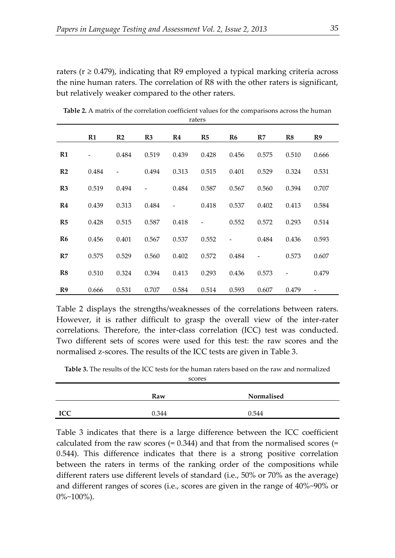raters ( $r \ge 0.479$ ), indicating that R9 employed a typical marking criteria across the nine human raters. The correlation of R8 with the other raters is significant, but relatively weaker compared to the other raters.

|                |       |                |       |       | raters |                |       |       |       |
|----------------|-------|----------------|-------|-------|--------|----------------|-------|-------|-------|
|                | R1    | R <sub>2</sub> | R3    | R4    | R5     | R <sub>6</sub> | R7    | R8    | R9    |
| R1             |       | 0.484          | 0.519 | 0.439 | 0.428  | 0.456          | 0.575 | 0.510 | 0.666 |
| R <sub>2</sub> | 0.484 |                | 0.494 | 0.313 | 0.515  | 0.401          | 0.529 | 0.324 | 0.531 |
| R3             | 0.519 | 0.494          |       | 0.484 | 0.587  | 0.567          | 0.560 | 0.394 | 0.707 |
| R <sub>4</sub> | 0.439 | 0.313          | 0.484 |       | 0.418  | 0.537          | 0.402 | 0.413 | 0.584 |
| R5             | 0.428 | 0.515          | 0.587 | 0.418 |        | 0.552          | 0.572 | 0.293 | 0.514 |
| R <sub>6</sub> | 0.456 | 0.401          | 0.567 | 0.537 | 0.552  |                | 0.484 | 0.436 | 0.593 |
| R7             | 0.575 | 0.529          | 0.560 | 0.402 | 0.572  | 0.484          |       | 0.573 | 0.607 |
| R8             | 0.510 | 0.324          | 0.394 | 0.413 | 0.293  | 0.436          | 0.573 |       | 0.479 |
| R9             | 0.666 | 0.531          | 0.707 | 0.584 | 0.514  | 0.593          | 0.607 | 0.479 |       |

<span id="page-7-0"></span>**Table 2.** A matrix of the correlation coefficient values for the comparisons across the human

Table 2 displays the strengths/weaknesses of the correlations between raters. However, it is rather difficult to grasp the overall view of the inter-rater correlations. Therefore, the inter-class correlation (ICC) test was conducted. Two different sets of scores were used for this test: the raw scores and the normalised z-scores. The results of the ICC tests are given in [Table 3.](#page-7-1)

<span id="page-7-1"></span>**Table 3.** The results of the ICC tests for the human raters based on the raw and normalized scores

|            | Raw   | Normalised |  |
|------------|-------|------------|--|
| <b>ICC</b> | 0.344 | 0.544      |  |

Table 3 indicates that there is a large difference between the ICC coefficient calculated from the raw scores  $(= 0.344)$  and that from the normalised scores  $(= 0.344)$ 0.544). This difference indicates that there is a strong positive correlation between the raters in terms of the ranking order of the compositions while different raters use different levels of standard (i.e., 50% or 70% as the average) and different ranges of scores (i.e., scores are given in the range of 40%~90% or  $0\%$ ~100%).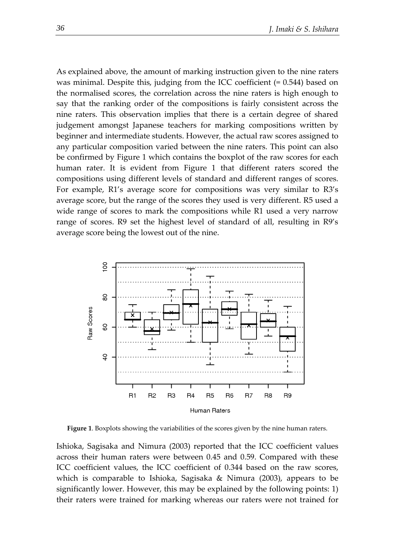As explained above, the amount of marking instruction given to the nine raters was minimal. Despite this, judging from the ICC coefficient (= 0.544) based on the normalised scores, the correlation across the nine raters is high enough to say that the ranking order of the compositions is fairly consistent across the nine raters. This observation implies that there is a certain degree of shared judgement amongst Japanese teachers for marking compositions written by beginner and intermediate students. However, the actual raw scores assigned to any particular composition varied between the nine raters. This point can also be confirmed by Figure 1 which contains the boxplot of the raw scores for each human rater. It is evident from Figure 1 that different raters scored the compositions using different levels of standard and different ranges of scores. For example, R1's average score for compositions was very similar to R3's average score, but the range of the scores they used is very different. R5 used a wide range of scores to mark the compositions while R1 used a very narrow range of scores. R9 set the highest level of standard of all, resulting in R9's average score being the lowest out of the nine.



**Figure 1**. Boxplots showing the variabilities of the scores given by the nine human raters.

Ishioka, Sagisaka and Nimura (2003) reported that the ICC coefficient values across their human raters were between 0.45 and 0.59. Compared with these ICC coefficient values, the ICC coefficient of 0.344 based on the raw scores, which is comparable to Ishioka, Sagisaka & Nimura (2003), appears to be significantly lower. However, this may be explained by the following points: 1) their raters were trained for marking whereas our raters were not trained for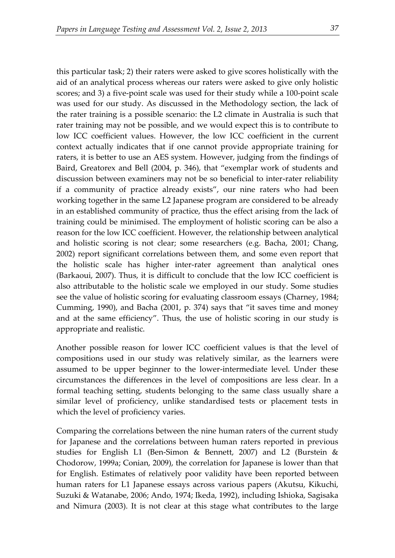this particular task; 2) their raters were asked to give scores holistically with the aid of an analytical process whereas our raters were asked to give only holistic scores; and 3) a five-point scale was used for their study while a 100-point scale was used for our study. As discussed in the Methodology section, the lack of the rater training is a possible scenario: the L2 climate in Australia is such that rater training may not be possible, and we would expect this is to contribute to low ICC coefficient values. However, the low ICC coefficient in the current context actually indicates that if one cannot provide appropriate training for raters, it is better to use an AES system. However, judging from the findings of Baird, Greatorex and Bell (2004, p. 346), that "exemplar work of students and discussion between examiners may not be so beneficial to inter-rater reliability if a community of practice already exists", our nine raters who had been working together in the same L2 Japanese program are considered to be already in an established community of practice, thus the effect arising from the lack of training could be minimised. The employment of holistic scoring can be also a reason for the low ICC coefficient. However, the relationship between analytical and holistic scoring is not clear; some researchers (e.g. Bacha, 2001; Chang, 2002) report significant correlations between them, and some even report that the holistic scale has higher inter-rater agreement than analytical ones (Barkaoui, 2007). Thus, it is difficult to conclude that the low ICC coefficient is also attributable to the holistic scale we employed in our study. Some studies see the value of holistic scoring for evaluating classroom essays (Charney, 1984; Cumming, 1990), and Bacha (2001, p. 374) says that "it saves time and money and at the same efficiency". Thus, the use of holistic scoring in our study is appropriate and realistic.

Another possible reason for lower ICC coefficient values is that the level of compositions used in our study was relatively similar, as the learners were assumed to be upper beginner to the lower-intermediate level. Under these circumstances the differences in the level of compositions are less clear. In a formal teaching setting, students belonging to the same class usually share a similar level of proficiency, unlike standardised tests or placement tests in which the level of proficiency varies.

Comparing the correlations between the nine human raters of the current study for Japanese and the correlations between human raters reported in previous studies for English L1 (Ben-Simon & Bennett, 2007) and L2 (Burstein & Chodorow, 1999a; Conian, 2009), the correlation for Japanese is lower than that for English. Estimates of relatively poor validity have been reported between human raters for L1 Japanese essays across various papers (Akutsu, Kikuchi, Suzuki & Watanabe, 2006; Ando, 1974; Ikeda, 1992), including Ishioka, Sagisaka and Nimura (2003). It is not clear at this stage what contributes to the large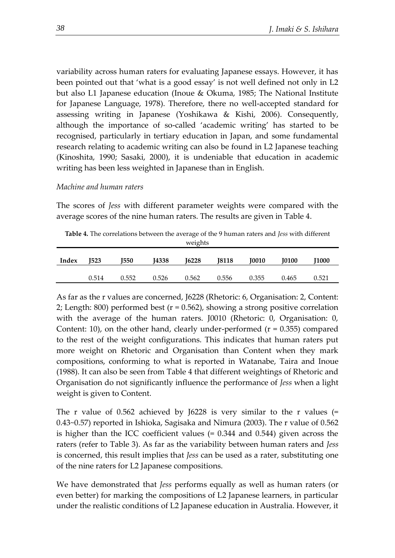variability across human raters for evaluating Japanese essays. However, it has been pointed out that 'what is a good essay' is not well defined not only in L2 but also L1 Japanese education (Inoue & Okuma, 1985; The National Institute for Japanese Language, 1978). Therefore, there no well-accepted standard for assessing writing in Japanese (Yoshikawa & Kishi, 2006). Consequently, although the importance of so-called 'academic writing' has started to be recognised, particularly in tertiary education in Japan, and some fundamental research relating to academic writing can also be found in L2 Japanese teaching (Kinoshita, 1990; Sasaki, 2000), it is undeniable that education in academic writing has been less weighted in Japanese than in English.

#### *Machine and human raters*

The scores of *Jess* with different parameter weights were compared with the average scores of the nine human raters. The results are given in [Table 4.](#page-10-0)

<span id="page-10-0"></span>**Table 4.** The correlations between the average of the 9 human raters and *Jess* with different weights

| I6228<br><b>J0100</b><br>J523<br>I550<br>14338<br><b>18118</b><br><b>I0010</b><br>Index | <b>J1000</b> |  |
|-----------------------------------------------------------------------------------------|--------------|--|
|                                                                                         |              |  |
|                                                                                         |              |  |
| 0.526<br>0.355<br>0.562<br>0.514<br>0.556<br>0.552<br>0.465                             | 0.521        |  |

As far as the r values are concerned, J6228 (Rhetoric: 6, Organisation: 2, Content: 2; Length: 800) performed best ( $r = 0.562$ ), showing a strong positive correlation with the average of the human raters. J0010 (Rhetoric: 0, Organisation: 0, Content: 10), on the other hand, clearly under-performed  $(r = 0.355)$  compared to the rest of the weight configurations. This indicates that human raters put more weight on Rhetoric and Organisation than Content when they mark compositions, conforming to what is reported in Watanabe, Taira and Inoue (1988). It can also be seen from [Table 4](#page-10-0) that different weightings of Rhetoric and Organisation do not significantly influence the performance of *Jess* when a light weight is given to Content.

The r value of 0.562 achieved by J6228 is very similar to the r values  $(=$ 0.43~0.57) reported in Ishioka, Sagisaka and Nimura (2003). The r value of 0.562 is higher than the ICC coefficient values (= 0.344 and 0.544) given across the raters (refer to [Table 3\)](#page-7-1). As far as the variability between human raters and *Jess* is concerned, this result implies that *Jess* can be used as a rater, substituting one of the nine raters for L2 Japanese compositions.

We have demonstrated that *Jess* performs equally as well as human raters (or even better) for marking the compositions of L2 Japanese learners, in particular under the realistic conditions of L2 Japanese education in Australia. However, it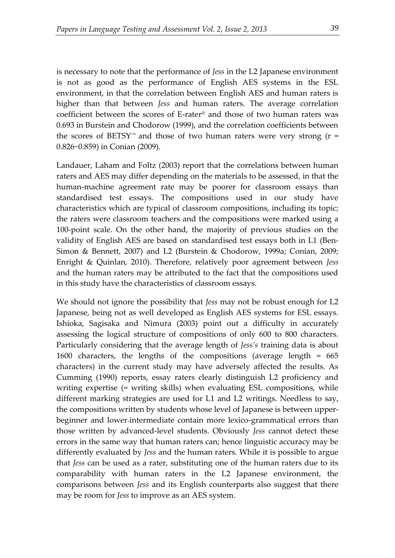is necessary to note that the performance of *Jess* in the L2 Japanese environment is not as good as the performance of English AES systems in the ESL environment, in that the correlation between English AES and human raters is higher than that between *Jess* and human raters. The average correlation coefficient between the scores of E-rater® and those of two human raters was 0.693 in Burstein and Chodorow (1999), and the correlation coefficients between the scores of BETSY<sup>™</sup> and those of two human raters were very strong ( $r =$ 0.826~0.859) in Conian (2009).

Landauer, Laham and Foltz (2003) report that the correlations between human raters and AES may differ depending on the materials to be assessed, in that the human-machine agreement rate may be poorer for classroom essays than standardised test essays. The compositions used in our study have characteristics which are typical of classroom compositions, including its topic; the raters were classroom teachers and the compositions were marked using a 100-point scale. On the other hand, the majority of previous studies on the validity of English AES are based on standardised test essays both in L1 (Ben-Simon & Bennett, 2007) and L2 (Burstein & Chodorow, 1999a; Conian, 2009; Enright & Quinlan, 2010). Therefore, relatively poor agreement between *Jess* and the human raters may be attributed to the fact that the compositions used in this study have the characteristics of classroom essays.

We should not ignore the possibility that *Jess* may not be robust enough for L2 Japanese, being not as well developed as English AES systems for ESL essays. Ishioka, Sagisaka and Nimura (2003) point out a difficulty in accurately assessing the logical structure of compositions of only 600 to 800 characters. Particularly considering that the average length of *Jess's* training data is about 1600 characters, the lengths of the compositions (average length = 665 characters) in the current study may have adversely affected the results. As Cumming (1990) reports, essay raters clearly distinguish L2 proficiency and writing expertise (= writing skills) when evaluating ESL compositions, while different marking strategies are used for L1 and L2 writings. Needless to say, the compositions written by students whose level of Japanese is between upperbeginner and lower-intermediate contain more lexico-grammatical errors than those written by advanced-level students. Obviously *Jess* cannot detect these errors in the same way that human raters can; hence linguistic accuracy may be differently evaluated by *Jess* and the human raters. While it is possible to argue that *Jess* can be used as a rater, substituting one of the human raters due to its comparability with human raters in the L2 Japanese environment, the comparisons between *Jess* and its English counterparts also suggest that there may be room for *Jess* to improve as an AES system.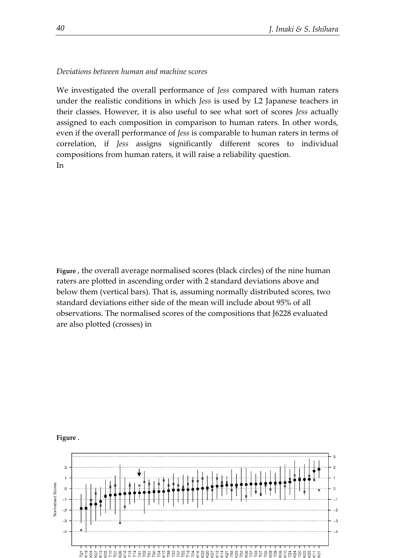#### *Deviations between human and machine scores*

We investigated the overall performance of *Jess* compared with human raters under the realistic conditions in which *Jess* is used by L2 Japanese teachers in their classes. However, it is also useful to see what sort of scores *Jess* actually assigned to each composition in comparison to human raters. In other words, even if the overall performance of *Jess* is comparable to human raters in terms of correlation, if *Jess* assigns significantly different scores to individual compositions from human raters, it will raise a reliability question. In

**[Figure](#page-12-0)** , the overall average normalised scores (black circles) of the nine human raters are plotted in ascending order with 2 standard deviations above and below them (vertical bars). That is, assuming normally distributed scores, two standard deviations either side of the mean will include about 95% of all observations. The normalis[ed scores of the compositions that J6228 evaluated](#page-12-0)  are also plotted (crosses) in



<span id="page-12-0"></span>**[Figure](#page-12-0)** .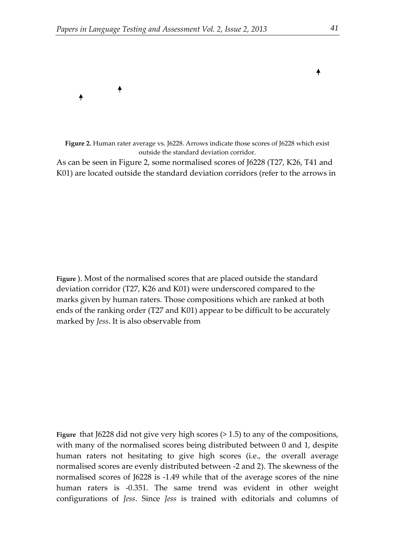

**Figure 2.** Human rater average vs. J6228. Arrows indicate those scores of J6228 which exist outside the standard deviation corridor.

As can be seen in Figure 2, some normalised scores of J6228 (T27, K26, T41 and K01) are located outside the standard deviation corridors (refer to the arrows in

**[Figure](#page-12-0)** ). Most of the normalised scores that are placed outside the standard deviation corridor (T27, K26 and K01) were underscored compared to the marks given by human raters. Those compositions which are ranked at both ends of the ranking order (T27 and K01) appear to be difficult to be accurately marked by *Jess*[. It is also observable from](#page-12-0) 

**[Figure](#page-12-0)** that J6228 did not give very high scores (> 1.5) to any of the compositions, with many of the normalised scores being distributed between 0 and 1, despite human raters not hesitating to give high scores (i.e., the overall average normalised scores are evenly distributed between -2 and 2). The skewness of the normalised scores of J6228 is -1.49 while that of the average scores of the nine human raters is -0.351. The same trend was evident in other weight configurations of *Jess*. Since *Jess* is trained with editorials and columns of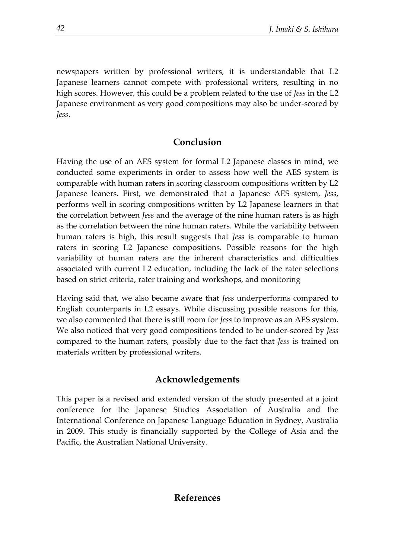newspapers written by professional writers, it is understandable that L2 Japanese learners cannot compete with professional writers, resulting in no high scores. However, this could be a problem related to the use of *Jess* in the L2 Japanese environment as very good compositions may also be under-scored by *Jess*.

## **Conclusion**

Having the use of an AES system for formal L2 Japanese classes in mind, we conducted some experiments in order to assess how well the AES system is comparable with human raters in scoring classroom compositions written by L2 Japanese leaners. First, we demonstrated that a Japanese AES system, *Jess*, performs well in scoring compositions written by L2 Japanese learners in that the correlation between *Jess* and the average of the nine human raters is as high as the correlation between the nine human raters. While the variability between human raters is high, this result suggests that *Jess* is comparable to human raters in scoring L2 Japanese compositions. Possible reasons for the high variability of human raters are the inherent characteristics and difficulties associated with current L2 education, including the lack of the rater selections based on strict criteria, rater training and workshops, and monitoring

Having said that, we also became aware that *Jess* underperforms compared to English counterparts in L2 essays. While discussing possible reasons for this, we also commented that there is still room for *Jess* to improve as an AES system. We also noticed that very good compositions tended to be under-scored by *Jess* compared to the human raters, possibly due to the fact that *Jess* is trained on materials written by professional writers.

## **Acknowledgements**

This paper is a revised and extended version of the study presented at a joint conference for the Japanese Studies Association of Australia and the International Conference on Japanese Language Education in Sydney, Australia in 2009. This study is financially supported by the College of Asia and the Pacific, the Australian National University.

## **References**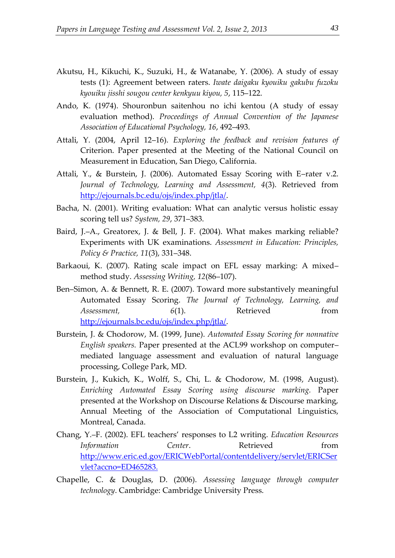- Akutsu, H., Kikuchi, K., Suzuki, H., & Watanabe, Y. (2006). A study of essay tests (1): Agreement between raters. *Iwate daigaku kyouiku gakubu fuzoku kyouiku jisshi sougou center kenkyuu kiyou, 5*, 115–122.
- Ando, K. (1974). Shouronbun saitenhou no ichi kentou (A study of essay evaluation method). *Proceedings of Annual Convention of the Japanese Association of Educational Psychology, 16*, 492–493.
- Attali, Y. (2004, April 12–16). *Exploring the feedback and revision features of*  Criterion. Paper presented at the Meeting of the National Council on Measurement in Education, San Diego, California.
- Attali, Y., & Burstein, J. (2006). Automated Essay Scoring with E–rater v.2. *Journal of Technology, Learning and Assessment, 4*(3). Retrieved from [http://ejournals.bc.edu/ojs/index.php/jtla/.](http://ejournals.bc.edu/ojs/index.php/jtla/)
- Bacha, N. (2001). Writing evaluation: What can analytic versus holistic essay scoring tell us? *System, 29*, 371–383.
- Baird, J.–A., Greatorex, J. & Bell, J. F. (2004). What makes marking reliable? Experiments with UK examinations. *Assessment in Education: Principles, Policy & Practice, 11*(3), 331–348.
- Barkaoui, K. (2007). Rating scale impact on EFL essay marking: A mixed– method study. *Assessing Writing, 12*(86–107).
- Ben–Simon, A. & Bennett, R. E. (2007). Toward more substantively meaningful Automated Essay Scoring. *The Journal of Technology, Learning, and Assessment,* 6(1). Retrieved from [http://ejournals.bc.edu/ojs/index.php/jtla/.](http://ejournals.bc.edu/ojs/index.php/jtla/)
- Burstein, J. & Chodorow, M. (1999, June). *Automated Essay Scoring for nonnative English speakers.* Paper presented at the ACL99 workshop on computer– mediated language assessment and evaluation of natural language processing, College Park, MD.
- Burstein, J., Kukich, K., Wolff, S., Chi, L. & Chodorow, M. (1998, August). *Enriching Automated Essay Scoring using discourse marking.* Paper presented at the Workshop on Discourse Relations & Discourse marking, Annual Meeting of the Association of Computational Linguistics, Montreal, Canada.
- Chang, Y.–F. (2002). EFL teachers' responses to L2 writing. *Education Resources Information Center*. Retrieved from [http://www.eric.ed.gov/ERICWebPortal/contentdelivery/servlet/ERICSer](http://www.eric.ed.gov/ERICWebPortal/contentdelivery/servlet/ERICServlet?accno=ED465283) [vlet?accno=ED465283.](http://www.eric.ed.gov/ERICWebPortal/contentdelivery/servlet/ERICServlet?accno=ED465283)
- Chapelle, C. & Douglas, D. (2006). *Assessing language through computer technology*. Cambridge: Cambridge University Press.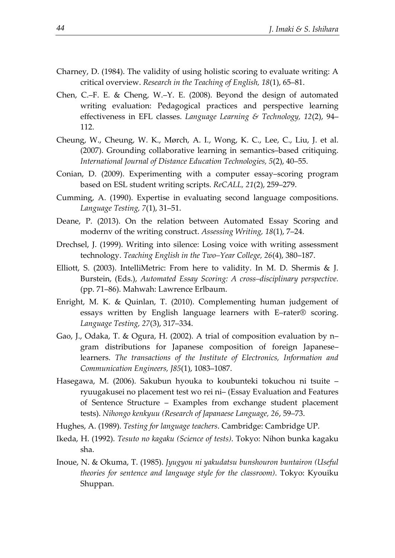- Charney, D. (1984). The validity of using holistic scoring to evaluate writing: A critical overview. *Research in the Teaching of English, 18*(1), 65–81.
- Chen, C.–F. E. & Cheng, W.–Y. E. (2008). Beyond the design of automated writing evaluation: Pedagogical practices and perspective learning effectiveness in EFL classes. *Language Learning & Technology, 12*(2), 94– 112.
- Cheung, W., Cheung, W. K., Mørch, A. I., Wong, K. C., Lee, C., Liu, J. et al. (2007). Grounding collaborative learning in semantics–based critiquing. *International Journal of Distance Education Technologies, 5*(2), 40–55.
- Conian, D. (2009). Experimenting with a computer essay–scoring program based on ESL student writing scripts. *ReCALL, 21*(2), 259–279.
- Cumming, A. (1990). Expertise in evaluating second language compositions. *Language Testing, 7*(1), 31–51.
- Deane, P. (2013). On the relation between Automated Essay Scoring and modernv of the writing construct. *Assessing Writing, 18*(1), 7–24.
- Drechsel, J. (1999). Writing into silence: Losing voice with writing assessment technology. *Teaching English in the Two–Year College, 26*(4), 380–187.
- Elliott, S. (2003). IntelliMetric: From here to validity. In M. D. Shermis & J. Burstein, (Eds.), *Automated Essay Scoring: A cross–disciplinary perspective.* (pp. 71–86). Mahwah: Lawrence Erlbaum.
- Enright, M. K. & Quinlan, T. (2010). Complementing human judgement of essays written by English language learners with E–rater® scoring. *Language Testing, 27*(3), 317–334.
- Gao, J., Odaka, T. & Ogura, H. (2002). A trial of composition evaluation by n– gram distributions for Japanese composition of foreign Japanese– learners. *The transactions of the Institute of Electronics, Information and Communication Engineers, J85*(1), 1083–1087.
- Hasegawa, M. (2006). Sakubun hyouka to koubunteki tokuchou ni tsuite ryuugakusei no placement test wo rei ni– (Essay Evaluation and Features of Sentence Structure – Examples from exchange student placement tests). *Nihongo kenkyuu (Research of Japanaese Language, 26*, 59–73.
- Hughes, A. (1989). *Testing for language teachers*. Cambridge: Cambridge UP.
- Ikeda, H. (1992). *Tesuto no kagaku (Science of tests)*. Tokyo: Nihon bunka kagaku sha.
- Inoue, N. & Okuma, T. (1985). *Jyugyou ni yakudatsu bunshouron buntairon (Useful theories for sentence and language style for the classroom)*. Tokyo: Kyouiku Shuppan.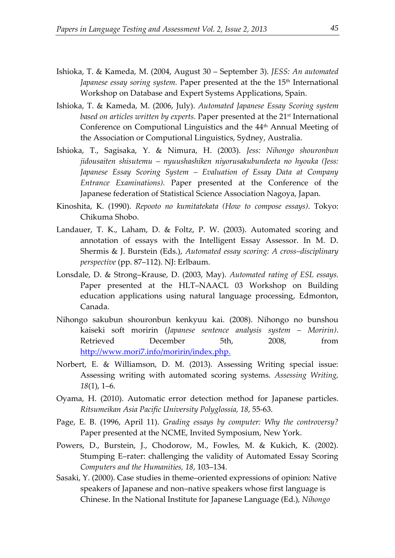- Ishioka, T. & Kameda, M. (2004, August 30 September 3). *JESS: An automated*  Japanese essay soring system. Paper presented at the the 15<sup>th</sup> International Workshop on Database and Expert Systems Applications, Spain.
- Ishioka, T. & Kameda, M. (2006, July). *Automated Japanese Essay Scoring system based on articles written by experts.* Paper presented at the 21st International Conference on Computional Linguistics and the 44<sup>th</sup> Annual Meeting of the Association or Computional Linguistics, Sydney, Australia.
- Ishioka, T., Sagisaka, Y. & Nimura, H. (2003). *Jess: Nihongo shouronbun jidousaiten shisutemu – nyuushashiken niyorusakubundeeta no hyouka (Jess: Japanese Essay Scoring System – Evaluation of Essay Data at Company Entrance Examinations).* Paper presented at the Conference of the Japanese federation of Statistical Science Association Nagoya, Japan.
- Kinoshita, K. (1990). *Repooto no kumitatekata (How to compose essays)*. Tokyo: Chikuma Shobo.
- Landauer, T. K., Laham, D. & Foltz, P. W. (2003). Automated scoring and annotation of essays with the Intelligent Essay Assessor. In M. D. Shermis & J. Burstein (Eds.), *Automated essay scoring: A cross–disciplinary perspective* (pp. 87–112). NJ: Erlbaum.
- Lonsdale, D. & Strong–Krause, D. (2003, May). *Automated rating of ESL essays.* Paper presented at the HLT–NAACL 03 Workshop on Building education applications using natural language processing, Edmonton, Canada.
- Nihongo sakubun shouronbun kenkyuu kai. (2008). Nihongo no bunshou kaiseki soft moririn (*Japanese sentence analysis system – Moririn)*. Retrieved December 5th, 2008, from [http://www.mori7.info/moririn/index.php.](http://www.mori7.info/moririn/index.php)
- Norbert, E. & Williamson, D. M. (2013). Assessing Writing special issue: Assessing writing with automated scoring systems. *Assessing Writing, 18*(1), 1–6.
- Oyama, H. (2010). Automatic error detection method for Japanese particles. *Ritsumeikan Asia Pacific University Polyglossia, 18*, 55-63.
- Page, E. B. (1996, April 11). *Grading essays by computer: Why the controversy?* Paper presented at the NCME, Invited Symposium, New York.
- Powers, D., Burstein, J., Chodorow, M., Fowles, M. & Kukich, K. (2002). Stumping E–rater: challenging the validity of Automated Essay Scoring *Computers and the Humanities, 18*, 103–134.
- Sasaki, Y. (2000). Case studies in theme–oriented expressions of opinion: Native speakers of Japanese and non–native speakers whose first language is Chinese. In the National Institute for Japanese Language (Ed.), *Nihongo*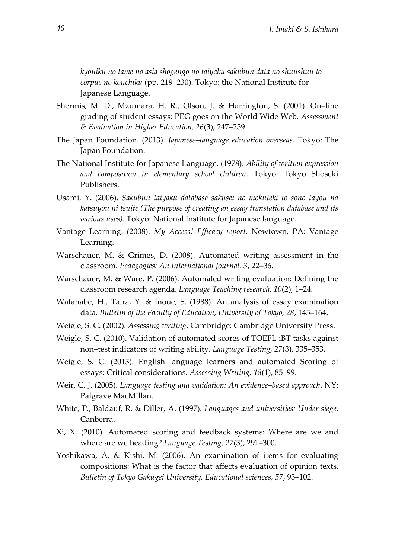*kyouiku no tame no asia shogengo no taiyaku sakubun data no shuushuu to corpus no kouchiku* (pp. 219–230). Tokyo: the National Institute for Japanese Language.

- Shermis, M. D., Mzumara, H. R., Olson, J. & Harrington, S. (2001). On–line grading of student essays: PEG goes on the World Wide Web. *Assessment & Evaluation in Higher Education, 26*(3), 247–259.
- The Japan Foundation. (2013). *Japanese–language education overseas*. Tokyo: The Japan Foundation.
- The National Institute for Japanese Language. (1978). *Ability of written expression and composition in elementary school children*. Tokyo: Tokyo Shoseki Publishers.
- Usami, Y. (2006). *Sakubun taiyaku database sakusei no mokuteki to sono tayou na katsuyou ni tsuite (The purpose of creating an essay translation database and its various uses)*. Tokyo: National Institute for Japanese language.
- Vantage Learning. (2008). *My Access! Efficacy report*. Newtown, PA: Vantage Learning.
- Warschauer, M. & Grimes, D. (2008). Automated writing assessment in the classroom. *Pedagogies: An International Journal, 3*, 22–36.
- Warschauer, M. & Ware, P. (2006). Automated writing evaluation: Defining the classroom research agenda. *Language Teaching research, 10*(2), 1–24.
- Watanabe, H., Taira, Y. & Inoue, S. (1988). An analysis of essay examination data. *Bulletin of the Faculty of Education, University of Tokyo, 28*, 143–164.
- Weigle, S. C. (2002). *Assessing writing*. Cambridge: Cambridge University Press.
- Weigle, S. C. (2010). Validation of automated scores of TOEFL iBT tasks against non–test indicators of writing ability. *Language Testing, 27*(3), 335–353.
- Weigle, S. C. (2013). English language learners and automated Scoring of essays: Critical considerations. *Assessing Writing, 18*(1), 85–99.
- Weir, C. J. (2005). *Language testing and validation: An evidence–based approach*. NY: Palgrave MacMillan.
- White, P., Baldauf, R. & Diller, A. (1997). *Languages and universities: Under siege*. Canberra.
- Xi, X. (2010). Automated scoring and feedback systems: Where are we and where are we heading? *Language Testing, 27*(3), 291–300.
- Yoshikawa, A, & Kishi, M. (2006). An examination of items for evaluating compositions: What is the factor that affects evaluation of opinion texts. *Bulletin of Tokyo Gakugei University. Educational sciences, 57*, 93–102.